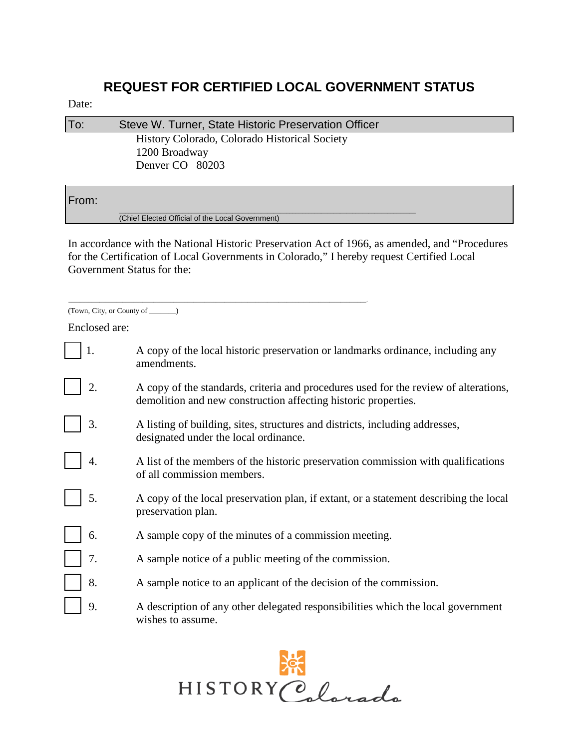## **REQUEST FOR CERTIFIED LOCAL GOVERNMENT STATUS**

## Date:

| To: | Steve W. Turner, State Historic Preservation Officer           |  |
|-----|----------------------------------------------------------------|--|
|     | History Colorado, Colorado Historical Society<br>1200 Broadway |  |
|     | Denver CO 80203                                                |  |

## From:

\_\_\_\_\_\_\_\_\_\_\_\_\_\_\_\_\_\_\_\_\_\_\_\_\_\_\_\_\_\_\_\_\_\_\_\_\_\_\_\_\_\_\_\_\_\_\_\_\_\_\_\_\_\_\_\_\_\_\_\_\_\_\_\_\_\_\_\_\_\_\_\_\_\_\_\_\_\_\_\_\_\_\_\_\_\_\_\_\_\_\_\_\_\_ (Chief Elected Official of the Local Government)

\_\_\_\_\_\_\_\_\_\_\_\_\_\_\_\_\_\_\_\_\_\_\_\_\_\_\_\_\_\_\_\_\_\_\_\_\_\_\_\_\_\_\_\_\_\_\_\_\_\_\_\_\_\_\_\_\_\_\_\_\_\_\_\_\_\_\_\_\_\_\_\_\_\_\_\_\_\_\_\_\_\_\_\_\_\_\_\_\_\_\_\_\_\_\_\_\_\_\_\_\_\_\_\_\_.

In accordance with the National Historic Preservation Act of 1966, as amended, and "Procedures for the Certification of Local Governments in Colorado," I hereby request Certified Local Government Status for the:

|  | (Town, City, or County of |  |
|--|---------------------------|--|
|  |                           |  |

Enclosed are:

|  | A copy of the local historic preservation or landmarks ordinance, including any |
|--|---------------------------------------------------------------------------------|
|  | amendments.                                                                     |

- 2. A copy of the standards, criteria and procedures used for the review of alterations, demolition and new construction affecting historic properties.
- 3. A listing of building, sites, structures and districts, including addresses, designated under the local ordinance.
- 4. A list of the members of the historic preservation commission with qualifications of all commission members.
- 5. A copy of the local preservation plan, if extant, or a statement describing the local preservation plan.
- 6. A sample copy of the minutes of a commission meeting.
	- 7. A sample notice of a public meeting of the commission.
- 8. A sample notice to an applicant of the decision of the commission.
- 9. A description of any other delegated responsibilities which the local government wishes to assume.

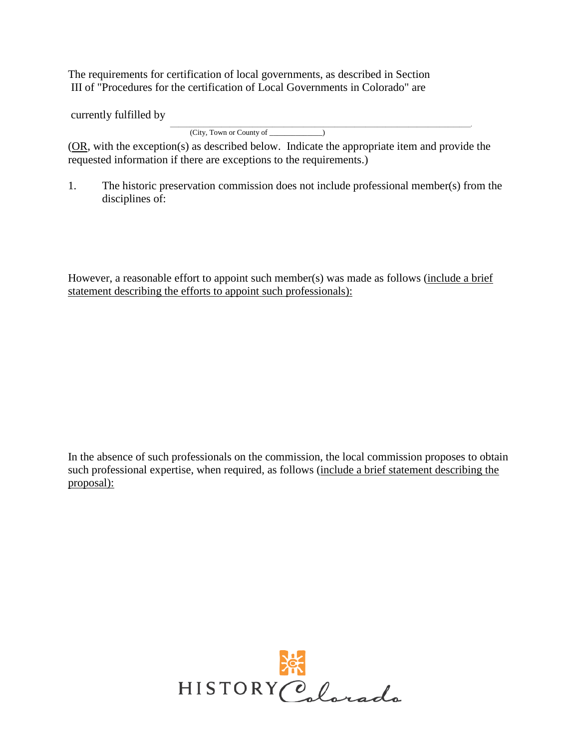The requirements for certification of local governments, as described in Section III of "Procedures for the certification of Local Governments in Colorado" are

currently fulfilled by

\_\_\_\_\_\_\_\_\_\_\_\_\_\_\_\_\_\_\_\_\_\_\_\_\_\_\_\_\_\_\_\_\_\_\_\_\_\_\_\_\_\_\_\_\_\_\_\_\_\_\_\_\_\_\_\_\_\_\_\_\_\_\_\_\_\_\_\_\_\_\_\_\_\_\_\_\_\_\_\_\_\_\_\_\_\_\_\_\_\_\_\_\_\_\_\_\_\_\_\_\_\_\_\_\_\_. (City, Town or County of \_\_\_\_\_\_\_\_\_\_\_\_\_\_)

(OR, with the exception(s) as described below. Indicate the appropriate item and provide the requested information if there are exceptions to the requirements.)

1. The historic preservation commission does not include professional member(s) from the disciplines of:

However, a reasonable effort to appoint such member(s) was made as follows (include a brief statement describing the efforts to appoint such professionals):

In the absence of such professionals on the commission, the local commission proposes to obtain such professional expertise, when required, as follows (include a brief statement describing the proposal):